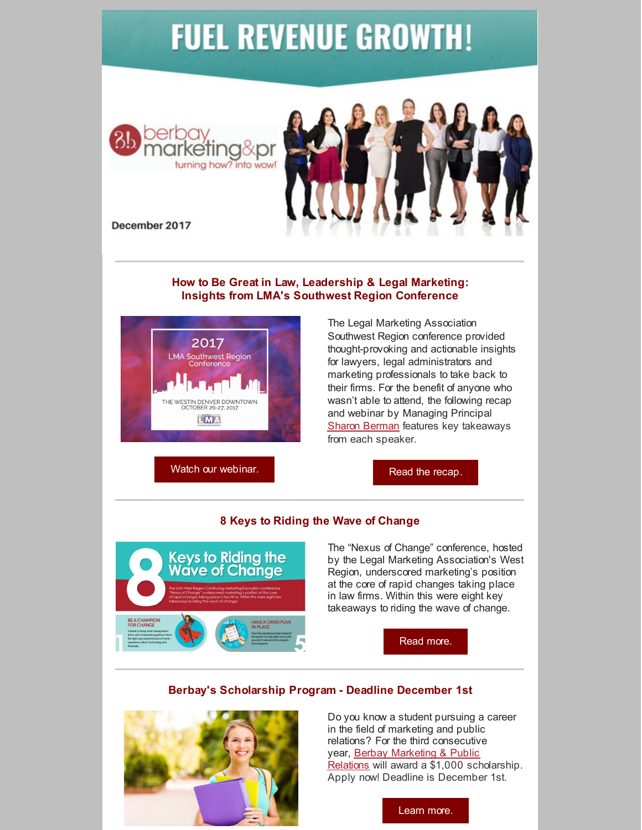# **FUEL REVENUE GROWTH!**





December 2017

### **How to Be Great in Law, Leadership & Legal Marketing: Insights from LMA's Southwest Region Conference**



The Legal Marketing Association Southwest Region conference provided thought-provoking and actionable insights for lawyers, legal administrators and marketing professionals to take back to their firms. For the benefit of anyone who wasn't able to attend, the following recap and webinar by Managing Principal Sharon [Berman](https://www.berbay.com/about/our-team/sharon-berman/) features key takeaways from each speaker.

Watch our [webinar.](http://bit.ly/LMSWrecapvid)

Read the [recap.](http://bit.ly/LMASWrecap)

## **8 Keys to Riding the Wave of Change**



The "Nexus of Change" conference, hosted by the Legal Marketing Association's West Region, underscored marketing's position at the core of rapid changes taking place in law firms. Within this were eight key takeaways to riding the wave of change.



# **Berbay's Scholarship Program - Deadline December 1st**



Do you know a student pursuing a career in the field of marketing and public relations? For the third consecutive year, Berbay [Marketing](http://www.berbay.com/) & Public Relations will award a \$1,000 scholarship. Apply now! Deadline is December 1st.

[Learn](http://bit.ly/BBScholarship) more.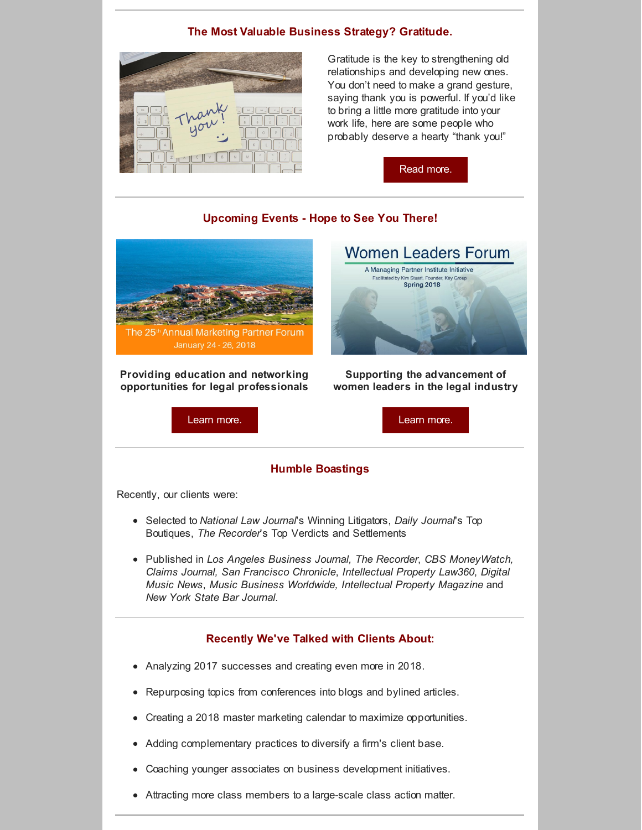## **The Most Valuable Business Strategy? Gratitude.**



Gratitude is the key to strengthening old relationships and developing new ones. You don't need to make a grand gesture, saying thank you is powerful. If you'd like to bring a little more gratitude into your work life, here are some people who probably deserve a hearty "thank you!"

[Read](http://bit.ly/BBgratitude) more.

Spring 2018

### **Upcoming Events - Hope to See You There!**



**Providing education and networking opportunities for legal professionals**

[Learn](http://bit.ly/BBMPF) more.



**women leaders in the legal industry**

#### **Humble Boastings**

Recently, our clients were:

- Selected to *National Law Journal*'s Winning Litigators, *Daily Journal*'s Top Boutiques, *The Recorder*'s Top Verdicts and Settlements
- Published in *Los Angeles Business Journal, The Recorder*, *CBS MoneyWatch, Claims Journal, San Francisco Chronicle*, *Intellectual Property Law360*, *Digital Music News*, *Music Business Worldwide, Intellectual Property Magazine* and *New York State Bar Journal.*

#### **Recently We've Talked with Clients About:**

- Analyzing 2017 successes and creating even more in 2018.
- Repurposing topics from conferences into blogs and bylined articles.  $\bullet$
- Creating a 2018 master marketing calendar to maximize opportunities.
- Adding complementary practices to diversify a firm's client base.
- Coaching younger associates on business development initiatives.
- Attracting more class members to a large-scale class action matter.